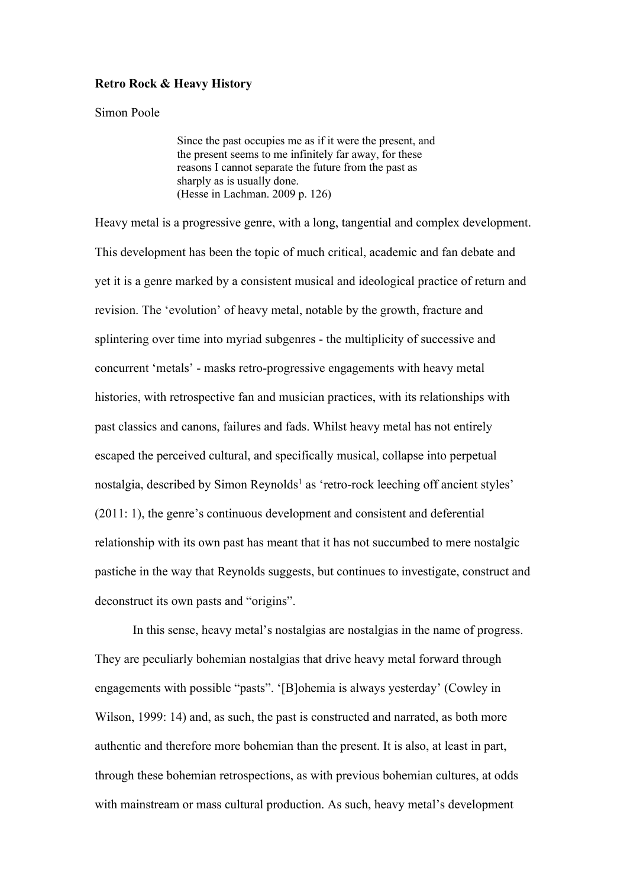## **Retro Rock & Heavy History**

Simon Poole

Since the past occupies me as if it were the present, and the present seems to me infinitely far away, for these reasons I cannot separate the future from the past as sharply as is usually done. (Hesse in Lachman. 2009 p. 126)

Heavy metal is a progressive genre, with a long, tangential and complex development. This development has been the topic of much critical, academic and fan debate and yet it is a genre marked by a consistent musical and ideological practice of return and revision. The 'evolution' of heavy metal, notable by the growth, fracture and splintering over time into myriad subgenres - the multiplicity of successive and concurrent 'metals' - masks retro-progressive engagements with heavy metal histories, with retrospective fan and musician practices, with its relationships with past classics and canons, failures and fads. Whilst heavy metal has not entirely escaped the perceived cultural, and specifically musical, collapse into perpetual nostalgia, described by Simon Reynolds<sup>1</sup> as 'retro-rock leeching off ancient styles' (2011: 1), the genre's continuous development and consistent and deferential relationship with its own past has meant that it has not succumbed to mere nostalgic pastiche in the way that Reynolds suggests, but continues to investigate, construct and deconstruct its own pasts and "origins".

In this sense, heavy metal's nostalgias are nostalgias in the name of progress. They are peculiarly bohemian nostalgias that drive heavy metal forward through engagements with possible "pasts". '[B]ohemia is always yesterday' (Cowley in Wilson, 1999: 14) and, as such, the past is constructed and narrated, as both more authentic and therefore more bohemian than the present. It is also, at least in part, through these bohemian retrospections, as with previous bohemian cultures, at odds with mainstream or mass cultural production. As such, heavy metal's development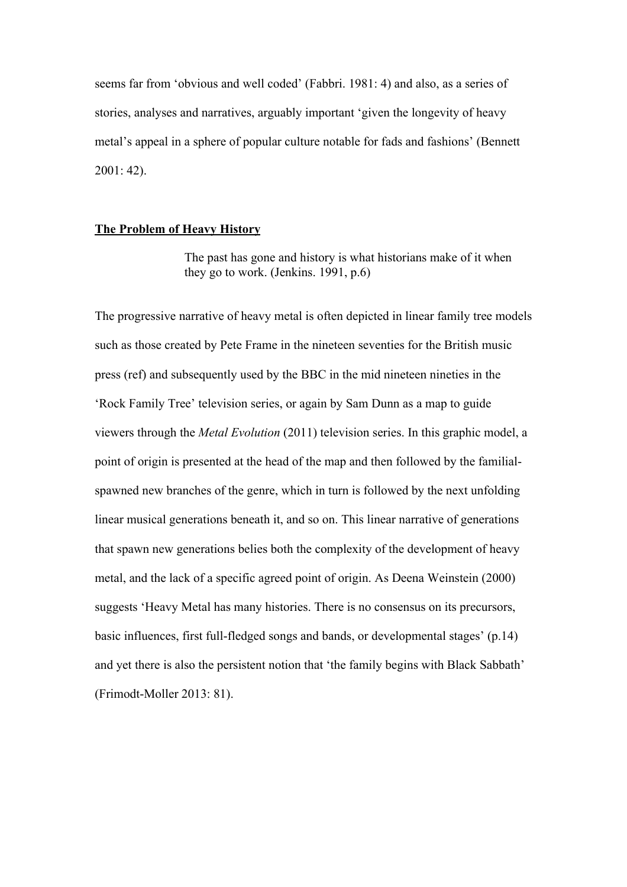seems far from 'obvious and well coded' (Fabbri. 1981: 4) and also, as a series of stories, analyses and narratives, arguably important 'given the longevity of heavy metal's appeal in a sphere of popular culture notable for fads and fashions' (Bennett 2001: 42).

## **The Problem of Heavy History**

The past has gone and history is what historians make of it when they go to work. (Jenkins. 1991, p.6)

The progressive narrative of heavy metal is often depicted in linear family tree models such as those created by Pete Frame in the nineteen seventies for the British music press (ref) and subsequently used by the BBC in the mid nineteen nineties in the 'Rock Family Tree' television series, or again by Sam Dunn as a map to guide viewers through the *Metal Evolution* (2011) television series. In this graphic model, a point of origin is presented at the head of the map and then followed by the familialspawned new branches of the genre, which in turn is followed by the next unfolding linear musical generations beneath it, and so on. This linear narrative of generations that spawn new generations belies both the complexity of the development of heavy metal, and the lack of a specific agreed point of origin. As Deena Weinstein (2000) suggests 'Heavy Metal has many histories. There is no consensus on its precursors, basic influences, first full-fledged songs and bands, or developmental stages' (p.14) and yet there is also the persistent notion that 'the family begins with Black Sabbath' (Frimodt-Moller 2013: 81).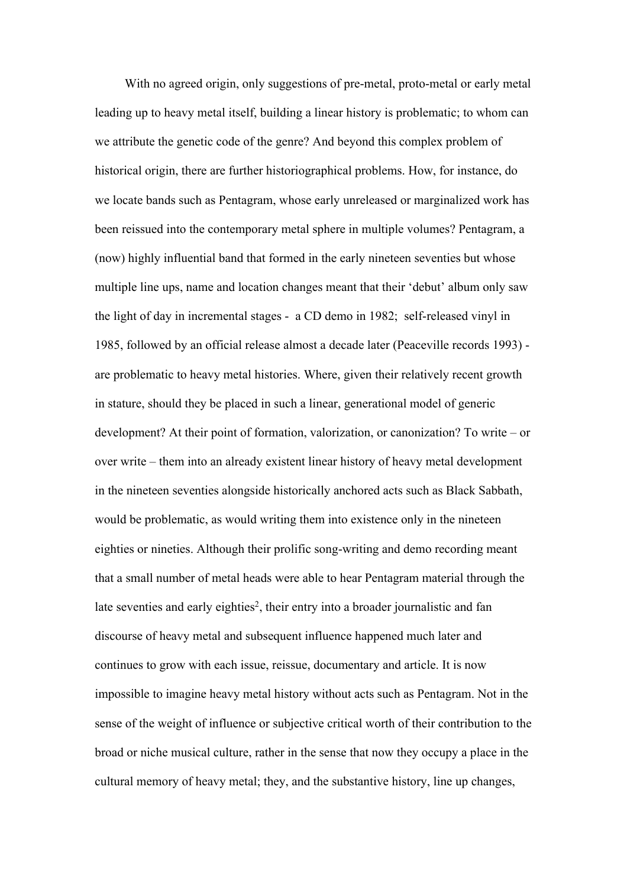With no agreed origin, only suggestions of pre-metal, proto-metal or early metal leading up to heavy metal itself, building a linear history is problematic; to whom can we attribute the genetic code of the genre? And beyond this complex problem of historical origin, there are further historiographical problems. How, for instance, do we locate bands such as Pentagram, whose early unreleased or marginalized work has been reissued into the contemporary metal sphere in multiple volumes? Pentagram, a (now) highly influential band that formed in the early nineteen seventies but whose multiple line ups, name and location changes meant that their 'debut' album only saw the light of day in incremental stages - a CD demo in 1982; self-released vinyl in 1985, followed by an official release almost a decade later (Peaceville records 1993) are problematic to heavy metal histories. Where, given their relatively recent growth in stature, should they be placed in such a linear, generational model of generic development? At their point of formation, valorization, or canonization? To write – or over write – them into an already existent linear history of heavy metal development in the nineteen seventies alongside historically anchored acts such as Black Sabbath, would be problematic, as would writing them into existence only in the nineteen eighties or nineties. Although their prolific song-writing and demo recording meant that a small number of metal heads were able to hear Pentagram material through the late seventies and early eighties<sup>2</sup>, their entry into a broader journalistic and fan discourse of heavy metal and subsequent influence happened much later and continues to grow with each issue, reissue, documentary and article. It is now impossible to imagine heavy metal history without acts such as Pentagram. Not in the sense of the weight of influence or subjective critical worth of their contribution to the broad or niche musical culture, rather in the sense that now they occupy a place in the cultural memory of heavy metal; they, and the substantive history, line up changes,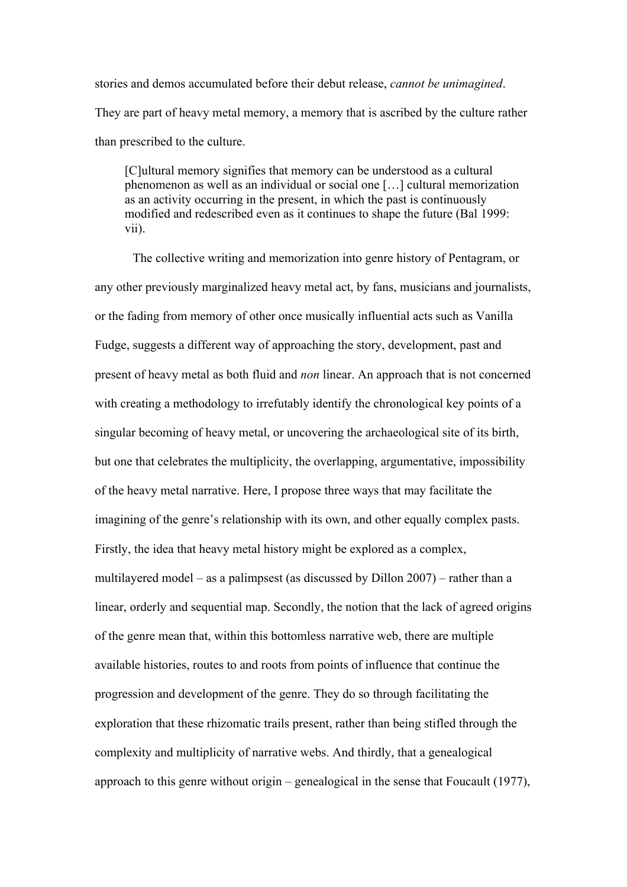stories and demos accumulated before their debut release, *cannot be unimagined*. They are part of heavy metal memory, a memory that is ascribed by the culture rather than prescribed to the culture.

[C]ultural memory signifies that memory can be understood as a cultural phenomenon as well as an individual or social one […] cultural memorization as an activity occurring in the present, in which the past is continuously modified and redescribed even as it continues to shape the future (Bal 1999: vii).

The collective writing and memorization into genre history of Pentagram, or any other previously marginalized heavy metal act, by fans, musicians and journalists, or the fading from memory of other once musically influential acts such as Vanilla Fudge, suggests a different way of approaching the story, development, past and present of heavy metal as both fluid and *non* linear. An approach that is not concerned with creating a methodology to irrefutably identify the chronological key points of a singular becoming of heavy metal, or uncovering the archaeological site of its birth, but one that celebrates the multiplicity, the overlapping, argumentative, impossibility of the heavy metal narrative. Here, I propose three ways that may facilitate the imagining of the genre's relationship with its own, and other equally complex pasts. Firstly, the idea that heavy metal history might be explored as a complex, multilayered model – as a palimpsest (as discussed by Dillon 2007) – rather than a linear, orderly and sequential map. Secondly, the notion that the lack of agreed origins of the genre mean that, within this bottomless narrative web, there are multiple available histories, routes to and roots from points of influence that continue the progression and development of the genre. They do so through facilitating the exploration that these rhizomatic trails present, rather than being stifled through the complexity and multiplicity of narrative webs. And thirdly, that a genealogical approach to this genre without origin – genealogical in the sense that Foucault (1977),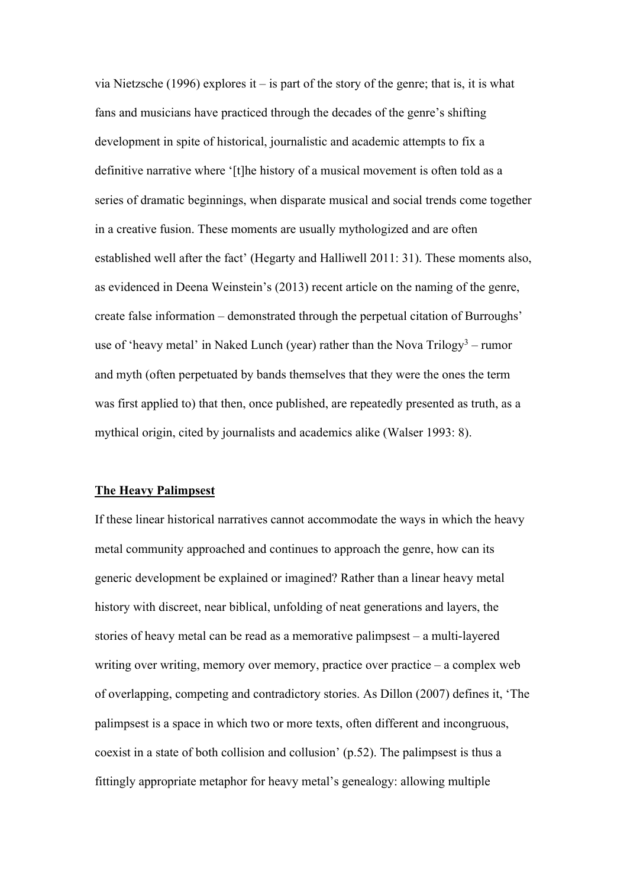via Nietzsche (1996) explores it – is part of the story of the genre; that is, it is what fans and musicians have practiced through the decades of the genre's shifting development in spite of historical, journalistic and academic attempts to fix a definitive narrative where '[t]he history of a musical movement is often told as a series of dramatic beginnings, when disparate musical and social trends come together in a creative fusion. These moments are usually mythologized and are often established well after the fact' (Hegarty and Halliwell 2011: 31). These moments also, as evidenced in Deena Weinstein's (2013) recent article on the naming of the genre, create false information – demonstrated through the perpetual citation of Burroughs' use of 'heavy metal' in Naked Lunch (year) rather than the Nova Trilogy<sup>3</sup> – rumor and myth (often perpetuated by bands themselves that they were the ones the term was first applied to) that then, once published, are repeatedly presented as truth, as a mythical origin, cited by journalists and academics alike (Walser 1993: 8).

### **The Heavy Palimpsest**

If these linear historical narratives cannot accommodate the ways in which the heavy metal community approached and continues to approach the genre, how can its generic development be explained or imagined? Rather than a linear heavy metal history with discreet, near biblical, unfolding of neat generations and layers, the stories of heavy metal can be read as a memorative palimpsest – a multi-layered writing over writing, memory over memory, practice over practice – a complex web of overlapping, competing and contradictory stories. As Dillon (2007) defines it, 'The palimpsest is a space in which two or more texts, often different and incongruous, coexist in a state of both collision and collusion' (p.52). The palimpsest is thus a fittingly appropriate metaphor for heavy metal's genealogy: allowing multiple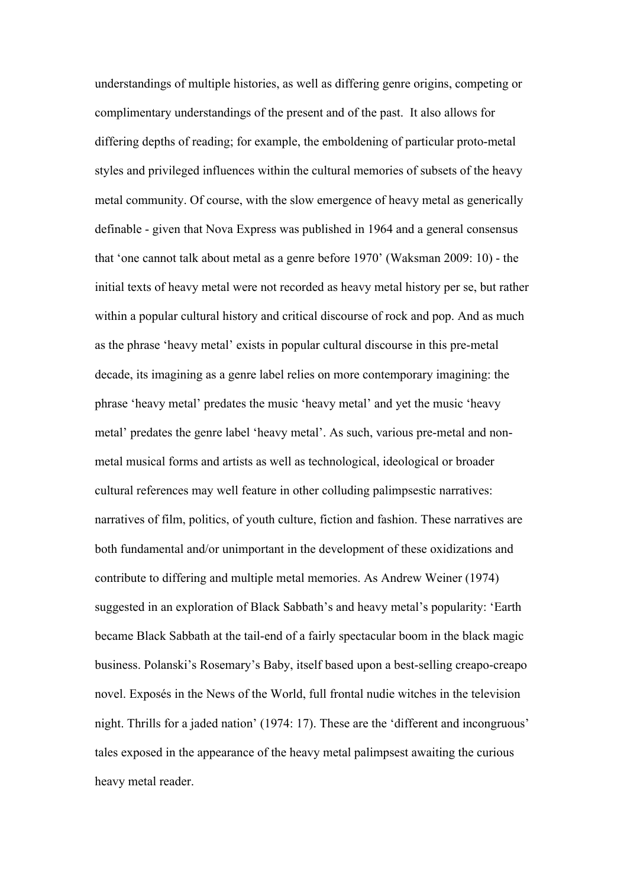understandings of multiple histories, as well as differing genre origins, competing or complimentary understandings of the present and of the past. It also allows for differing depths of reading; for example, the emboldening of particular proto-metal styles and privileged influences within the cultural memories of subsets of the heavy metal community. Of course, with the slow emergence of heavy metal as generically definable - given that Nova Express was published in 1964 and a general consensus that 'one cannot talk about metal as a genre before 1970' (Waksman 2009: 10) - the initial texts of heavy metal were not recorded as heavy metal history per se, but rather within a popular cultural history and critical discourse of rock and pop. And as much as the phrase 'heavy metal' exists in popular cultural discourse in this pre-metal decade, its imagining as a genre label relies on more contemporary imagining: the phrase 'heavy metal' predates the music 'heavy metal' and yet the music 'heavy metal' predates the genre label 'heavy metal'. As such, various pre-metal and nonmetal musical forms and artists as well as technological, ideological or broader cultural references may well feature in other colluding palimpsestic narratives: narratives of film, politics, of youth culture, fiction and fashion. These narratives are both fundamental and/or unimportant in the development of these oxidizations and contribute to differing and multiple metal memories. As Andrew Weiner (1974) suggested in an exploration of Black Sabbath's and heavy metal's popularity: 'Earth became Black Sabbath at the tail-end of a fairly spectacular boom in the black magic business. Polanski's Rosemary's Baby, itself based upon a best-selling creapo-creapo novel. Exposés in the News of the World, full frontal nudie witches in the television night. Thrills for a jaded nation' (1974: 17). These are the 'different and incongruous' tales exposed in the appearance of the heavy metal palimpsest awaiting the curious heavy metal reader.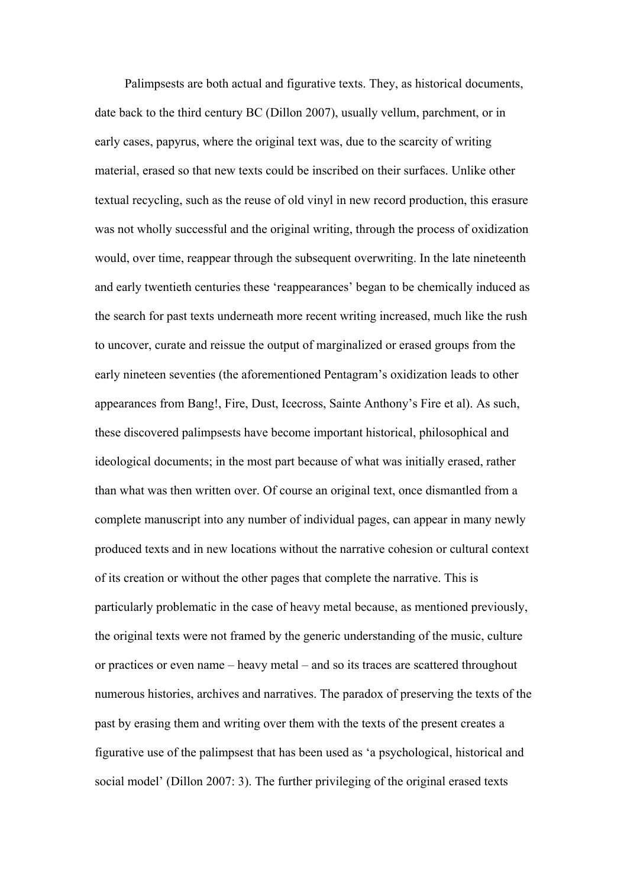Palimpsests are both actual and figurative texts. They, as historical documents, date back to the third century BC (Dillon 2007), usually vellum, parchment, or in early cases, papyrus, where the original text was, due to the scarcity of writing material, erased so that new texts could be inscribed on their surfaces. Unlike other textual recycling, such as the reuse of old vinyl in new record production, this erasure was not wholly successful and the original writing, through the process of oxidization would, over time, reappear through the subsequent overwriting. In the late nineteenth and early twentieth centuries these 'reappearances' began to be chemically induced as the search for past texts underneath more recent writing increased, much like the rush to uncover, curate and reissue the output of marginalized or erased groups from the early nineteen seventies (the aforementioned Pentagram's oxidization leads to other appearances from Bang!, Fire, Dust, Icecross, Sainte Anthony's Fire et al). As such, these discovered palimpsests have become important historical, philosophical and ideological documents; in the most part because of what was initially erased, rather than what was then written over. Of course an original text, once dismantled from a complete manuscript into any number of individual pages, can appear in many newly produced texts and in new locations without the narrative cohesion or cultural context of its creation or without the other pages that complete the narrative. This is particularly problematic in the case of heavy metal because, as mentioned previously, the original texts were not framed by the generic understanding of the music, culture or practices or even name – heavy metal – and so its traces are scattered throughout numerous histories, archives and narratives. The paradox of preserving the texts of the past by erasing them and writing over them with the texts of the present creates a figurative use of the palimpsest that has been used as 'a psychological, historical and social model' (Dillon 2007: 3). The further privileging of the original erased texts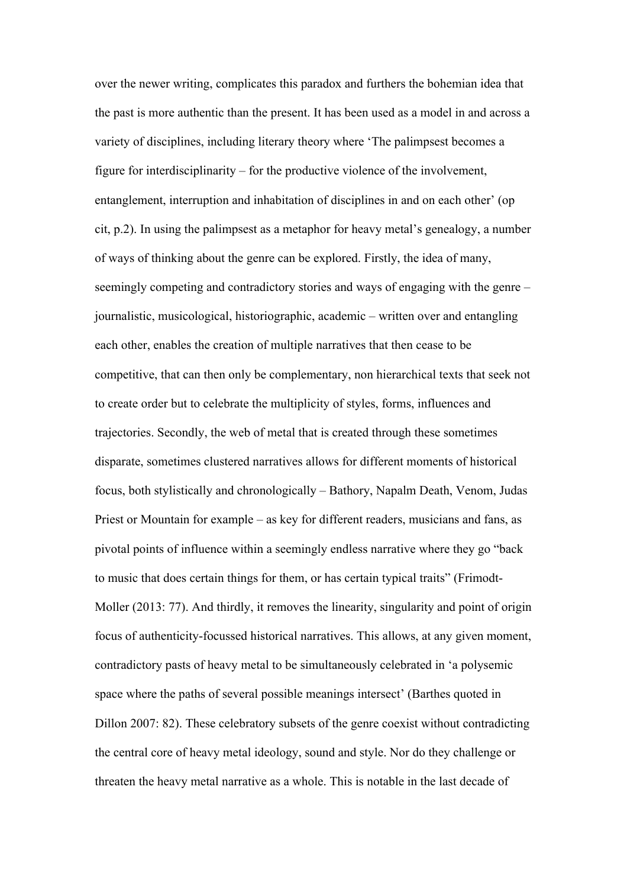over the newer writing, complicates this paradox and furthers the bohemian idea that the past is more authentic than the present. It has been used as a model in and across a variety of disciplines, including literary theory where 'The palimpsest becomes a figure for interdisciplinarity – for the productive violence of the involvement, entanglement, interruption and inhabitation of disciplines in and on each other' (op cit, p.2). In using the palimpsest as a metaphor for heavy metal's genealogy, a number of ways of thinking about the genre can be explored. Firstly, the idea of many, seemingly competing and contradictory stories and ways of engaging with the genre – journalistic, musicological, historiographic, academic – written over and entangling each other, enables the creation of multiple narratives that then cease to be competitive, that can then only be complementary, non hierarchical texts that seek not to create order but to celebrate the multiplicity of styles, forms, influences and trajectories. Secondly, the web of metal that is created through these sometimes disparate, sometimes clustered narratives allows for different moments of historical focus, both stylistically and chronologically – Bathory, Napalm Death, Venom, Judas Priest or Mountain for example – as key for different readers, musicians and fans, as pivotal points of influence within a seemingly endless narrative where they go "back to music that does certain things for them, or has certain typical traits" (Frimodt-Moller (2013: 77). And thirdly, it removes the linearity, singularity and point of origin focus of authenticity-focussed historical narratives. This allows, at any given moment, contradictory pasts of heavy metal to be simultaneously celebrated in 'a polysemic space where the paths of several possible meanings intersect' (Barthes quoted in Dillon 2007: 82). These celebratory subsets of the genre coexist without contradicting the central core of heavy metal ideology, sound and style. Nor do they challenge or threaten the heavy metal narrative as a whole. This is notable in the last decade of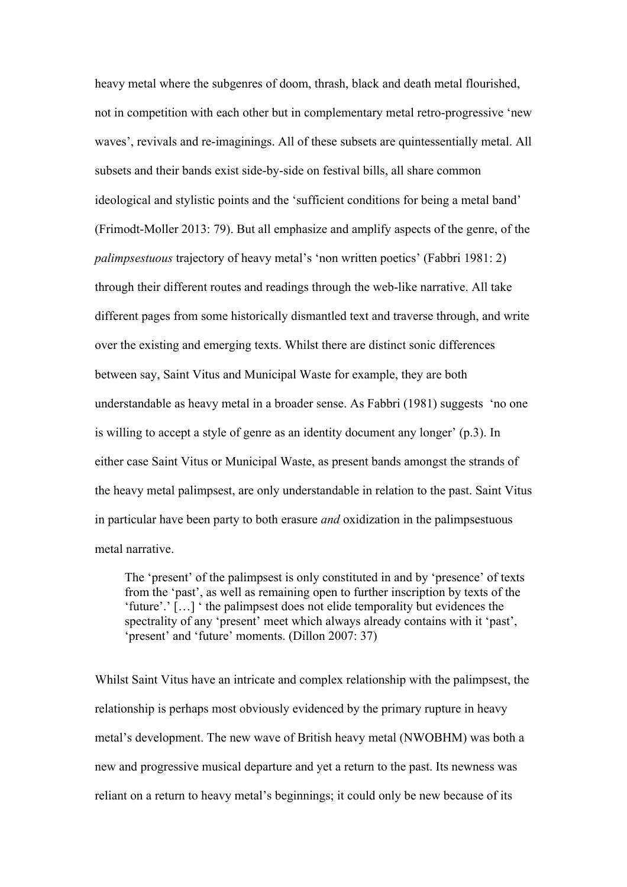heavy metal where the subgenres of doom, thrash, black and death metal flourished, not in competition with each other but in complementary metal retro-progressive 'new waves', revivals and re-imaginings. All of these subsets are quintessentially metal. All subsets and their bands exist side-by-side on festival bills, all share common ideological and stylistic points and the 'sufficient conditions for being a metal band' (Frimodt-Moller 2013: 79). But all emphasize and amplify aspects of the genre, of the *palimpsestuous* trajectory of heavy metal's 'non written poetics' (Fabbri 1981: 2) through their different routes and readings through the web-like narrative. All take different pages from some historically dismantled text and traverse through, and write over the existing and emerging texts. Whilst there are distinct sonic differences between say, Saint Vitus and Municipal Waste for example, they are both understandable as heavy metal in a broader sense. As Fabbri (1981) suggests 'no one is willing to accept a style of genre as an identity document any longer' (p.3). In either case Saint Vitus or Municipal Waste, as present bands amongst the strands of the heavy metal palimpsest, are only understandable in relation to the past. Saint Vitus in particular have been party to both erasure *and* oxidization in the palimpsestuous metal narrative.

The 'present' of the palimpsest is only constituted in and by 'presence' of texts from the 'past', as well as remaining open to further inscription by texts of the 'future'.' […] ' the palimpsest does not elide temporality but evidences the spectrality of any 'present' meet which always already contains with it 'past', 'present' and 'future' moments. (Dillon 2007: 37)

Whilst Saint Vitus have an intricate and complex relationship with the palimpsest, the relationship is perhaps most obviously evidenced by the primary rupture in heavy metal's development. The new wave of British heavy metal (NWOBHM) was both a new and progressive musical departure and yet a return to the past. Its newness was reliant on a return to heavy metal's beginnings; it could only be new because of its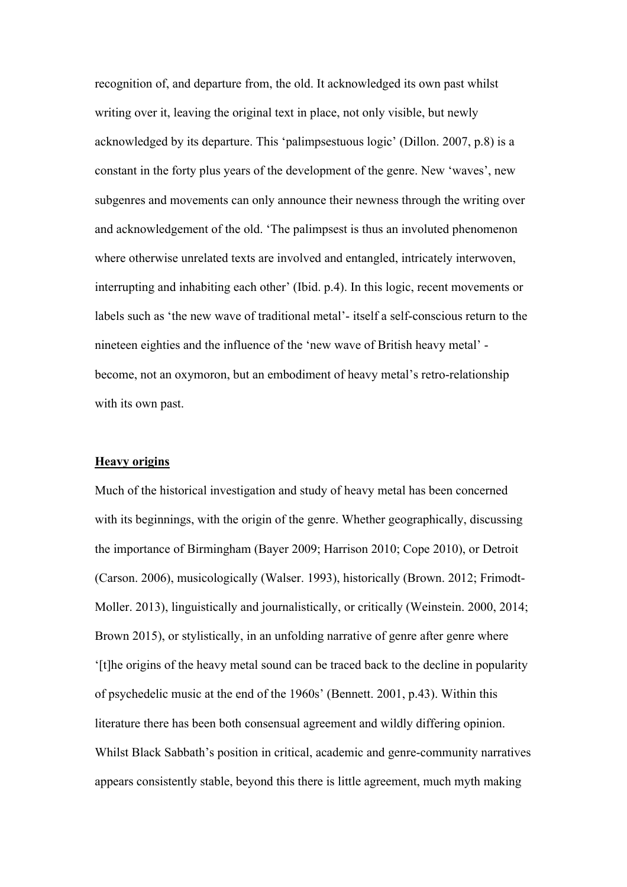recognition of, and departure from, the old. It acknowledged its own past whilst writing over it, leaving the original text in place, not only visible, but newly acknowledged by its departure. This 'palimpsestuous logic' (Dillon. 2007, p.8) is a constant in the forty plus years of the development of the genre. New 'waves', new subgenres and movements can only announce their newness through the writing over and acknowledgement of the old. 'The palimpsest is thus an involuted phenomenon where otherwise unrelated texts are involved and entangled, intricately interwoven, interrupting and inhabiting each other' (Ibid. p.4). In this logic, recent movements or labels such as 'the new wave of traditional metal'- itself a self-conscious return to the nineteen eighties and the influence of the 'new wave of British heavy metal' become, not an oxymoron, but an embodiment of heavy metal's retro-relationship with its own past.

#### **Heavy origins**

Much of the historical investigation and study of heavy metal has been concerned with its beginnings, with the origin of the genre. Whether geographically, discussing the importance of Birmingham (Bayer 2009; Harrison 2010; Cope 2010), or Detroit (Carson. 2006), musicologically (Walser. 1993), historically (Brown. 2012; Frimodt-Moller. 2013), linguistically and journalistically, or critically (Weinstein. 2000, 2014; Brown 2015), or stylistically, in an unfolding narrative of genre after genre where '[t]he origins of the heavy metal sound can be traced back to the decline in popularity of psychedelic music at the end of the 1960s' (Bennett. 2001, p.43). Within this literature there has been both consensual agreement and wildly differing opinion. Whilst Black Sabbath's position in critical, academic and genre-community narratives appears consistently stable, beyond this there is little agreement, much myth making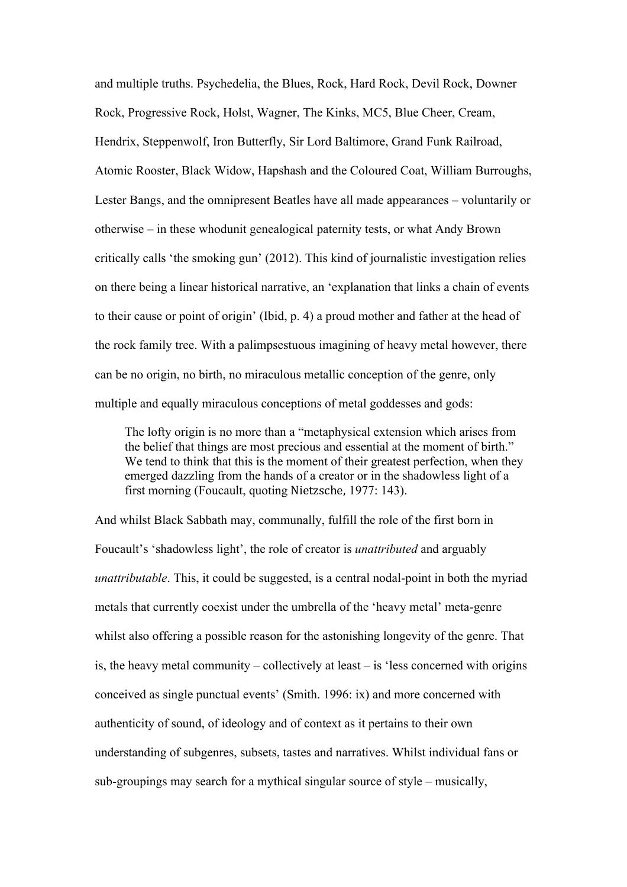and multiple truths. Psychedelia, the Blues, Rock, Hard Rock, Devil Rock, Downer Rock, Progressive Rock, Holst, Wagner, The Kinks, MC5, Blue Cheer, Cream, Hendrix, Steppenwolf, Iron Butterfly, Sir Lord Baltimore, Grand Funk Railroad, Atomic Rooster, Black Widow, Hapshash and the Coloured Coat, William Burroughs, Lester Bangs, and the omnipresent Beatles have all made appearances – voluntarily or otherwise – in these whodunit genealogical paternity tests, or what Andy Brown critically calls 'the smoking gun' (2012). This kind of journalistic investigation relies on there being a linear historical narrative, an 'explanation that links a chain of events to their cause or point of origin' (Ibid, p. 4) a proud mother and father at the head of the rock family tree. With a palimpsestuous imagining of heavy metal however, there can be no origin, no birth, no miraculous metallic conception of the genre, only multiple and equally miraculous conceptions of metal goddesses and gods:

The lofty origin is no more than a "metaphysical extension which arises from the belief that things are most precious and essential at the moment of birth." We tend to think that this is the moment of their greatest perfection, when they emerged dazzling from the hands of a creator or in the shadowless light of a first morning (Foucault, quoting Nietzsche, 1977: 143).

And whilst Black Sabbath may, communally, fulfill the role of the first born in Foucault's 'shadowless light', the role of creator is *unattributed* and arguably *unattributable*. This, it could be suggested, is a central nodal-point in both the myriad metals that currently coexist under the umbrella of the 'heavy metal' meta-genre whilst also offering a possible reason for the astonishing longevity of the genre. That is, the heavy metal community – collectively at least – is 'less concerned with origins conceived as single punctual events' (Smith. 1996: ix) and more concerned with authenticity of sound, of ideology and of context as it pertains to their own understanding of subgenres, subsets, tastes and narratives. Whilst individual fans or sub-groupings may search for a mythical singular source of style – musically,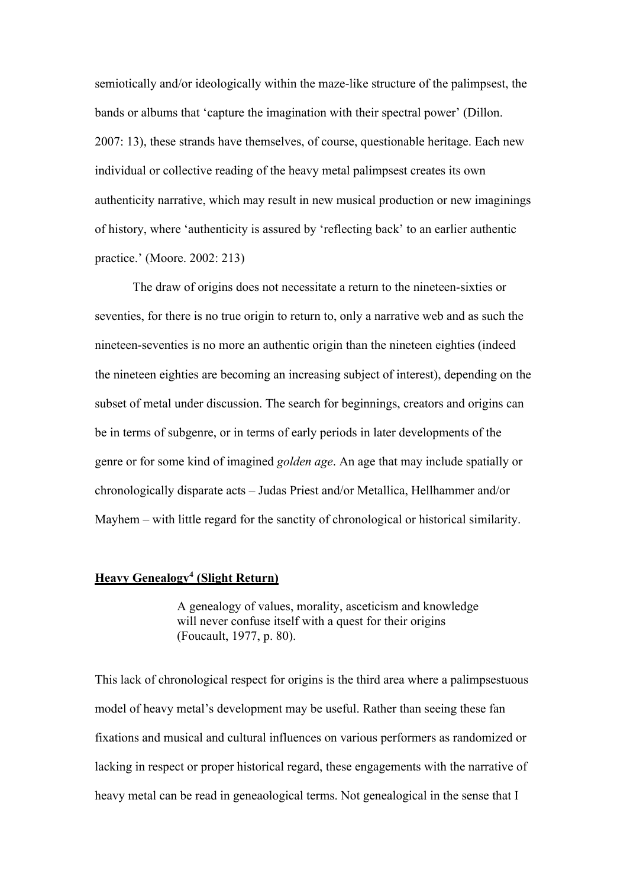semiotically and/or ideologically within the maze-like structure of the palimpsest, the bands or albums that 'capture the imagination with their spectral power' (Dillon. 2007: 13), these strands have themselves, of course, questionable heritage. Each new individual or collective reading of the heavy metal palimpsest creates its own authenticity narrative, which may result in new musical production or new imaginings of history, where 'authenticity is assured by 'reflecting back' to an earlier authentic practice.' (Moore. 2002: 213)

The draw of origins does not necessitate a return to the nineteen-sixties or seventies, for there is no true origin to return to, only a narrative web and as such the nineteen-seventies is no more an authentic origin than the nineteen eighties (indeed the nineteen eighties are becoming an increasing subject of interest), depending on the subset of metal under discussion. The search for beginnings, creators and origins can be in terms of subgenre, or in terms of early periods in later developments of the genre or for some kind of imagined *golden age*. An age that may include spatially or chronologically disparate acts – Judas Priest and/or Metallica, Hellhammer and/or Mayhem – with little regard for the sanctity of chronological or historical similarity.

# **Heavy Genealogy4 (Slight Return)**

A genealogy of values, morality, asceticism and knowledge will never confuse itself with a quest for their origins (Foucault, 1977, p. 80).

This lack of chronological respect for origins is the third area where a palimpsestuous model of heavy metal's development may be useful. Rather than seeing these fan fixations and musical and cultural influences on various performers as randomized or lacking in respect or proper historical regard, these engagements with the narrative of heavy metal can be read in geneaological terms. Not genealogical in the sense that I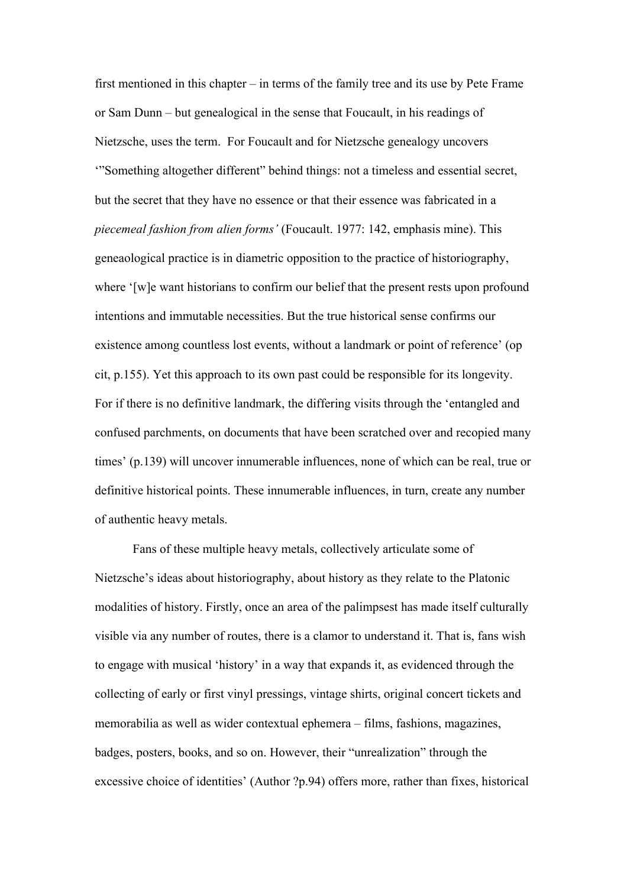first mentioned in this chapter – in terms of the family tree and its use by Pete Frame or Sam Dunn – but genealogical in the sense that Foucault, in his readings of Nietzsche, uses the term. For Foucault and for Nietzsche genealogy uncovers '"Something altogether different" behind things: not a timeless and essential secret, but the secret that they have no essence or that their essence was fabricated in a *piecemeal fashion from alien forms'* (Foucault. 1977: 142, emphasis mine). This geneaological practice is in diametric opposition to the practice of historiography, where '[w]e want historians to confirm our belief that the present rests upon profound intentions and immutable necessities. But the true historical sense confirms our existence among countless lost events, without a landmark or point of reference' (op cit, p.155). Yet this approach to its own past could be responsible for its longevity. For if there is no definitive landmark, the differing visits through the 'entangled and confused parchments, on documents that have been scratched over and recopied many times' (p.139) will uncover innumerable influences, none of which can be real, true or definitive historical points. These innumerable influences, in turn, create any number of authentic heavy metals.

Fans of these multiple heavy metals, collectively articulate some of Nietzsche's ideas about historiography, about history as they relate to the Platonic modalities of history. Firstly, once an area of the palimpsest has made itself culturally visible via any number of routes, there is a clamor to understand it. That is, fans wish to engage with musical 'history' in a way that expands it, as evidenced through the collecting of early or first vinyl pressings, vintage shirts, original concert tickets and memorabilia as well as wider contextual ephemera – films, fashions, magazines, badges, posters, books, and so on. However, their "unrealization" through the excessive choice of identities' (Author ?p.94) offers more, rather than fixes, historical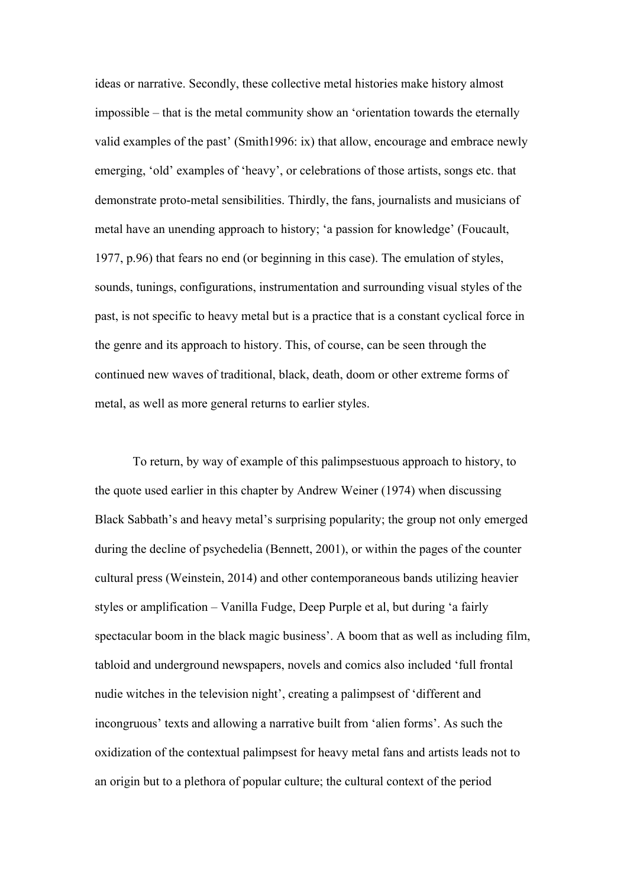ideas or narrative. Secondly, these collective metal histories make history almost impossible – that is the metal community show an 'orientation towards the eternally valid examples of the past' (Smith1996: ix) that allow, encourage and embrace newly emerging, 'old' examples of 'heavy', or celebrations of those artists, songs etc. that demonstrate proto-metal sensibilities. Thirdly, the fans, journalists and musicians of metal have an unending approach to history; 'a passion for knowledge' (Foucault, 1977, p.96) that fears no end (or beginning in this case). The emulation of styles, sounds, tunings, configurations, instrumentation and surrounding visual styles of the past, is not specific to heavy metal but is a practice that is a constant cyclical force in the genre and its approach to history. This, of course, can be seen through the continued new waves of traditional, black, death, doom or other extreme forms of metal, as well as more general returns to earlier styles.

To return, by way of example of this palimpsestuous approach to history, to the quote used earlier in this chapter by Andrew Weiner (1974) when discussing Black Sabbath's and heavy metal's surprising popularity; the group not only emerged during the decline of psychedelia (Bennett, 2001), or within the pages of the counter cultural press (Weinstein, 2014) and other contemporaneous bands utilizing heavier styles or amplification – Vanilla Fudge, Deep Purple et al, but during 'a fairly spectacular boom in the black magic business'. A boom that as well as including film, tabloid and underground newspapers, novels and comics also included 'full frontal nudie witches in the television night', creating a palimpsest of 'different and incongruous' texts and allowing a narrative built from 'alien forms'. As such the oxidization of the contextual palimpsest for heavy metal fans and artists leads not to an origin but to a plethora of popular culture; the cultural context of the period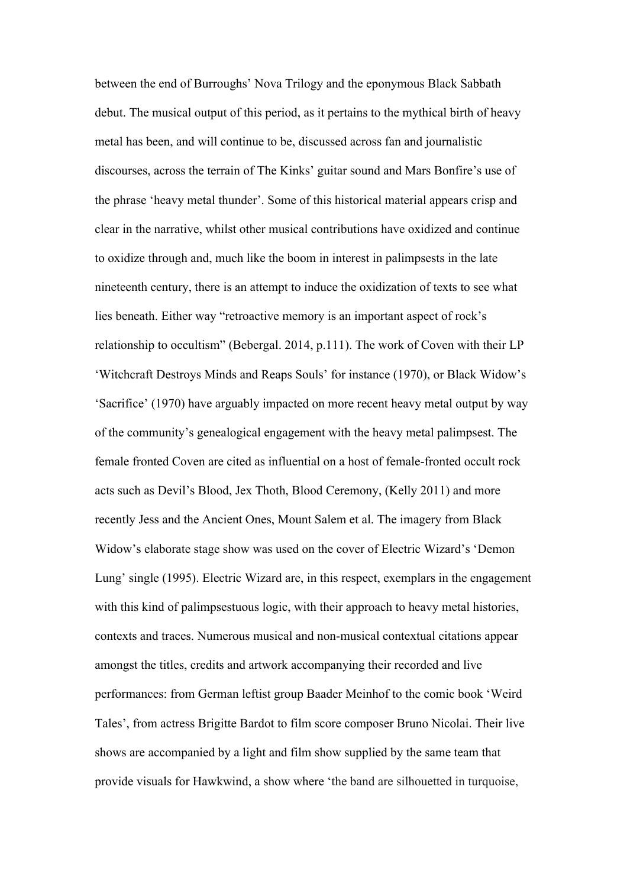between the end of Burroughs' Nova Trilogy and the eponymous Black Sabbath debut. The musical output of this period, as it pertains to the mythical birth of heavy metal has been, and will continue to be, discussed across fan and journalistic discourses, across the terrain of The Kinks' guitar sound and Mars Bonfire's use of the phrase 'heavy metal thunder'. Some of this historical material appears crisp and clear in the narrative, whilst other musical contributions have oxidized and continue to oxidize through and, much like the boom in interest in palimpsests in the late nineteenth century, there is an attempt to induce the oxidization of texts to see what lies beneath. Either way "retroactive memory is an important aspect of rock's relationship to occultism" (Bebergal. 2014, p.111). The work of Coven with their LP 'Witchcraft Destroys Minds and Reaps Souls' for instance (1970), or Black Widow's 'Sacrifice' (1970) have arguably impacted on more recent heavy metal output by way of the community's genealogical engagement with the heavy metal palimpsest. The female fronted Coven are cited as influential on a host of female-fronted occult rock acts such as Devil's Blood, Jex Thoth, Blood Ceremony, (Kelly 2011) and more recently Jess and the Ancient Ones, Mount Salem et al. The imagery from Black Widow's elaborate stage show was used on the cover of Electric Wizard's 'Demon Lung' single (1995). Electric Wizard are, in this respect, exemplars in the engagement with this kind of palimpsestuous logic, with their approach to heavy metal histories, contexts and traces. Numerous musical and non-musical contextual citations appear amongst the titles, credits and artwork accompanying their recorded and live performances: from German leftist group Baader Meinhof to the comic book 'Weird Tales', from actress Brigitte Bardot to film score composer Bruno Nicolai. Their live shows are accompanied by a light and film show supplied by the same team that provide visuals for Hawkwind, a show where 'the band are silhouetted in turquoise,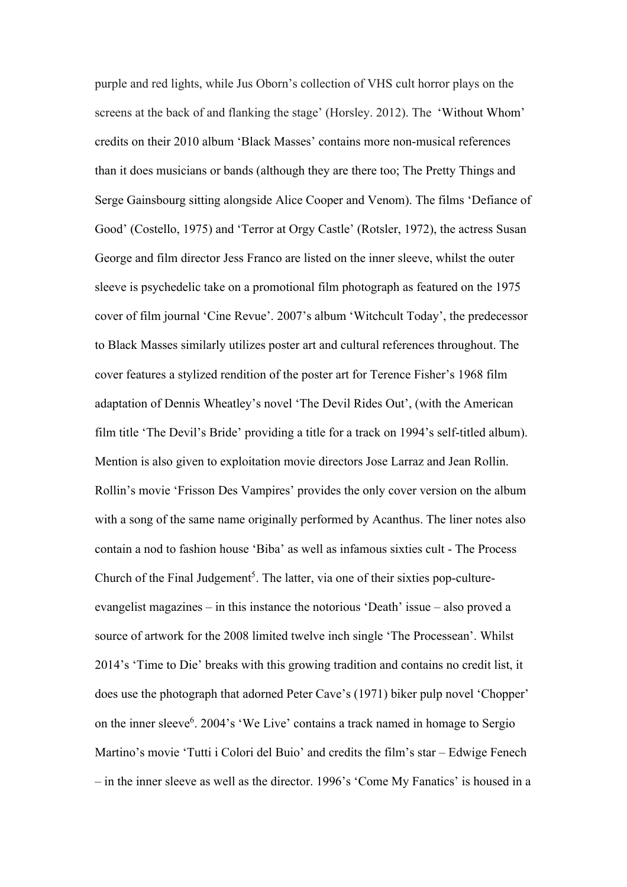purple and red lights, while Jus Oborn's collection of VHS cult horror plays on the screens at the back of and flanking the stage' (Horsley. 2012). The 'Without Whom' credits on their 2010 album 'Black Masses' contains more non-musical references than it does musicians or bands (although they are there too; The Pretty Things and Serge Gainsbourg sitting alongside Alice Cooper and Venom). The films 'Defiance of Good' (Costello, 1975) and 'Terror at Orgy Castle' (Rotsler, 1972), the actress Susan George and film director Jess Franco are listed on the inner sleeve, whilst the outer sleeve is psychedelic take on a promotional film photograph as featured on the 1975 cover of film journal 'Cine Revue'. 2007's album 'Witchcult Today', the predecessor to Black Masses similarly utilizes poster art and cultural references throughout. The cover features a stylized rendition of the poster art for Terence Fisher's 1968 film adaptation of Dennis Wheatley's novel 'The Devil Rides Out', (with the American film title 'The Devil's Bride' providing a title for a track on 1994's self-titled album). Mention is also given to exploitation movie directors Jose Larraz and Jean Rollin. Rollin's movie 'Frisson Des Vampires' provides the only cover version on the album with a song of the same name originally performed by Acanthus. The liner notes also contain a nod to fashion house 'Biba' as well as infamous sixties cult - The Process Church of the Final Judgement<sup>5</sup>. The latter, via one of their sixties pop-cultureevangelist magazines – in this instance the notorious 'Death' issue – also proved a source of artwork for the 2008 limited twelve inch single 'The Processean'. Whilst 2014's 'Time to Die' breaks with this growing tradition and contains no credit list, it does use the photograph that adorned Peter Cave's (1971) biker pulp novel 'Chopper' on the inner sleeve<sup>6</sup>. 2004's 'We Live' contains a track named in homage to Sergio Martino's movie 'Tutti i Colori del Buio' and credits the film's star – Edwige Fenech – in the inner sleeve as well as the director. 1996's 'Come My Fanatics' is housed in a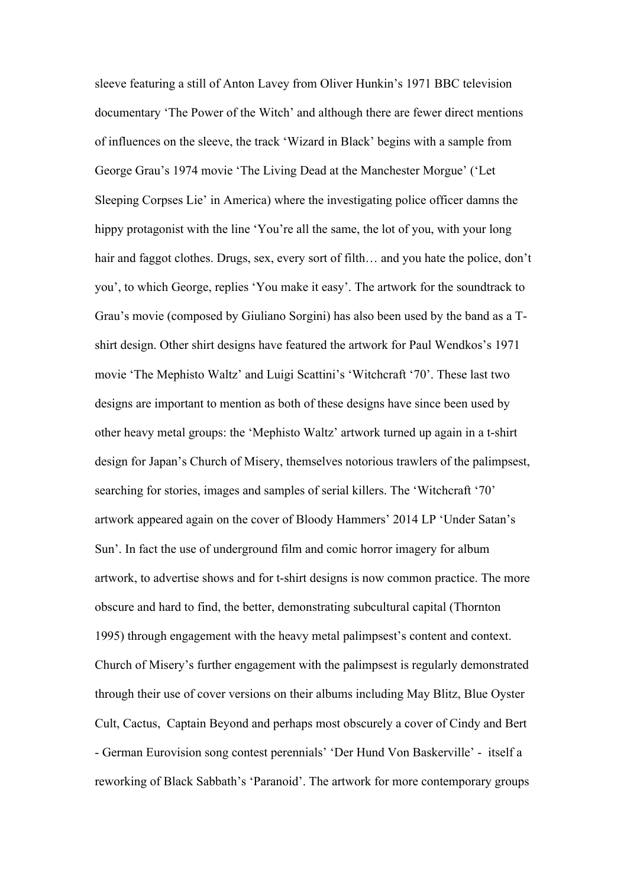sleeve featuring a still of Anton Lavey from Oliver Hunkin's 1971 BBC television documentary 'The Power of the Witch' and although there are fewer direct mentions of influences on the sleeve, the track 'Wizard in Black' begins with a sample from George Grau's 1974 movie 'The Living Dead at the Manchester Morgue' ('Let Sleeping Corpses Lie' in America) where the investigating police officer damns the hippy protagonist with the line 'You're all the same, the lot of you, with your long hair and faggot clothes. Drugs, sex, every sort of filth… and you hate the police, don't you', to which George, replies 'You make it easy'. The artwork for the soundtrack to Grau's movie (composed by Giuliano Sorgini) has also been used by the band as a Tshirt design. Other shirt designs have featured the artwork for Paul Wendkos's 1971 movie 'The Mephisto Waltz' and Luigi Scattini's 'Witchcraft '70'. These last two designs are important to mention as both of these designs have since been used by other heavy metal groups: the 'Mephisto Waltz' artwork turned up again in a t-shirt design for Japan's Church of Misery, themselves notorious trawlers of the palimpsest, searching for stories, images and samples of serial killers. The 'Witchcraft '70' artwork appeared again on the cover of Bloody Hammers' 2014 LP 'Under Satan's Sun'. In fact the use of underground film and comic horror imagery for album artwork, to advertise shows and for t-shirt designs is now common practice. The more obscure and hard to find, the better, demonstrating subcultural capital (Thornton 1995) through engagement with the heavy metal palimpsest's content and context. Church of Misery's further engagement with the palimpsest is regularly demonstrated through their use of cover versions on their albums including May Blitz, Blue Oyster Cult, Cactus, Captain Beyond and perhaps most obscurely a cover of Cindy and Bert - German Eurovision song contest perennials' 'Der Hund Von Baskerville' - itself a reworking of Black Sabbath's 'Paranoid'. The artwork for more contemporary groups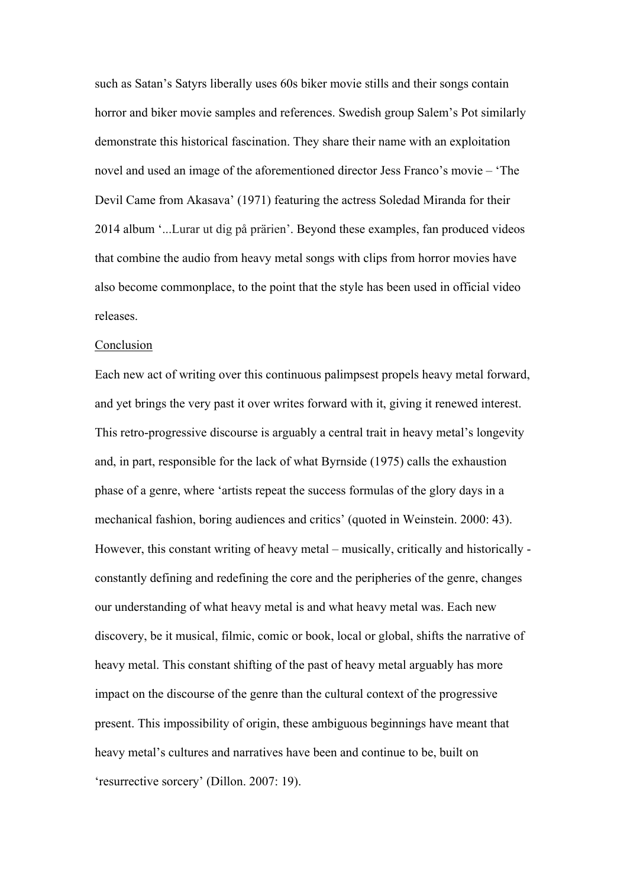such as Satan's Satyrs liberally uses 60s biker movie stills and their songs contain horror and biker movie samples and references. Swedish group Salem's Pot similarly demonstrate this historical fascination. They share their name with an exploitation novel and used an image of the aforementioned director Jess Franco's movie – 'The Devil Came from Akasava' (1971) featuring the actress Soledad Miranda for their 2014 album '...Lurar ut dig på prärien'. Beyond these examples, fan produced videos that combine the audio from heavy metal songs with clips from horror movies have also become commonplace, to the point that the style has been used in official video releases.

### Conclusion

Each new act of writing over this continuous palimpsest propels heavy metal forward, and yet brings the very past it over writes forward with it, giving it renewed interest. This retro-progressive discourse is arguably a central trait in heavy metal's longevity and, in part, responsible for the lack of what Byrnside (1975) calls the exhaustion phase of a genre, where 'artists repeat the success formulas of the glory days in a mechanical fashion, boring audiences and critics' (quoted in Weinstein. 2000: 43). However, this constant writing of heavy metal – musically, critically and historically constantly defining and redefining the core and the peripheries of the genre, changes our understanding of what heavy metal is and what heavy metal was. Each new discovery, be it musical, filmic, comic or book, local or global, shifts the narrative of heavy metal. This constant shifting of the past of heavy metal arguably has more impact on the discourse of the genre than the cultural context of the progressive present. This impossibility of origin, these ambiguous beginnings have meant that heavy metal's cultures and narratives have been and continue to be, built on 'resurrective sorcery' (Dillon. 2007: 19).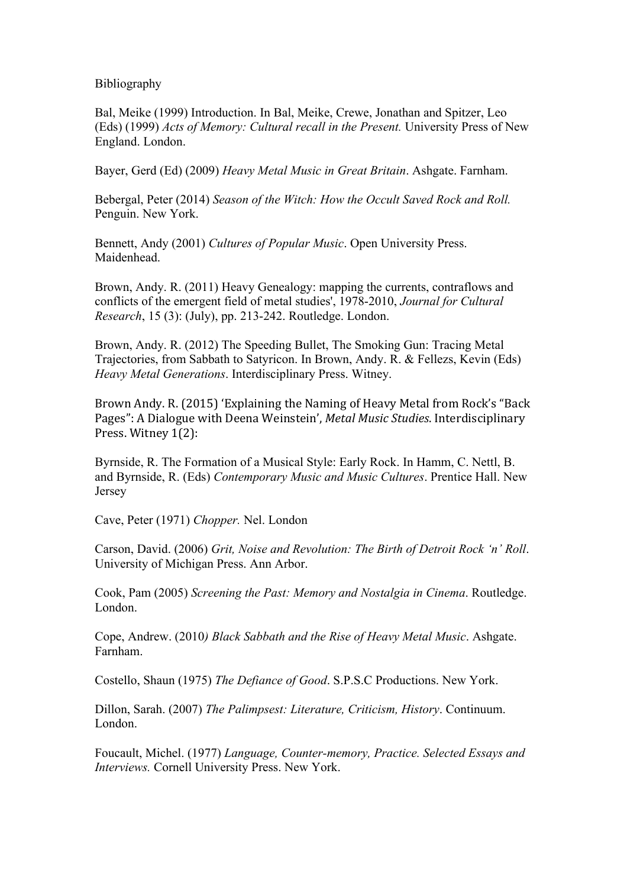Bibliography

Bal, Meike (1999) Introduction. In Bal, Meike, Crewe, Jonathan and Spitzer, Leo (Eds) (1999) *Acts of Memory: Cultural recall in the Present.* University Press of New England. London.

Bayer, Gerd (Ed) (2009) *Heavy Metal Music in Great Britain*. Ashgate. Farnham.

Bebergal, Peter (2014) *Season of the Witch: How the Occult Saved Rock and Roll.* Penguin. New York.

Bennett, Andy (2001) *Cultures of Popular Music*. Open University Press. Maidenhead.

Brown, Andy. R. (2011) Heavy Genealogy: mapping the currents, contraflows and conflicts of the emergent field of metal studies', 1978-2010, *Journal for Cultural Research*, 15 (3): (July), pp. 213-242. Routledge. London.

Brown, Andy. R. (2012) The Speeding Bullet, The Smoking Gun: Tracing Metal Trajectories, from Sabbath to Satyricon. In Brown, Andy. R. & Fellezs, Kevin (Eds) *Heavy Metal Generations*. Interdisciplinary Press. Witney.

Brown Andy. R. (2015) 'Explaining the Naming of Heavy Metal from Rock's "Back Pages": A Dialogue with Deena Weinstein', *Metal Music Studies*. Interdisciplinary Press. Witney 1(2):

Byrnside, R. The Formation of a Musical Style: Early Rock. In Hamm, C. Nettl, B. and Byrnside, R. (Eds) *Contemporary Music and Music Cultures*. Prentice Hall. New Jersey

Cave, Peter (1971) *Chopper.* Nel. London

Carson, David. (2006) *Grit, Noise and Revolution: The Birth of Detroit Rock 'n' Roll*. University of Michigan Press. Ann Arbor.

Cook, Pam (2005) *Screening the Past: Memory and Nostalgia in Cinema*. Routledge. London.

Cope, Andrew. (2010*) Black Sabbath and the Rise of Heavy Metal Music*. Ashgate. Farnham.

Costello, Shaun (1975) *The Defiance of Good*. S.P.S.C Productions. New York.

Dillon, Sarah. (2007) *The Palimpsest: Literature, Criticism, History*. Continuum. London.

Foucault, Michel. (1977) *Language, Counter-memory, Practice. Selected Essays and Interviews.* Cornell University Press. New York.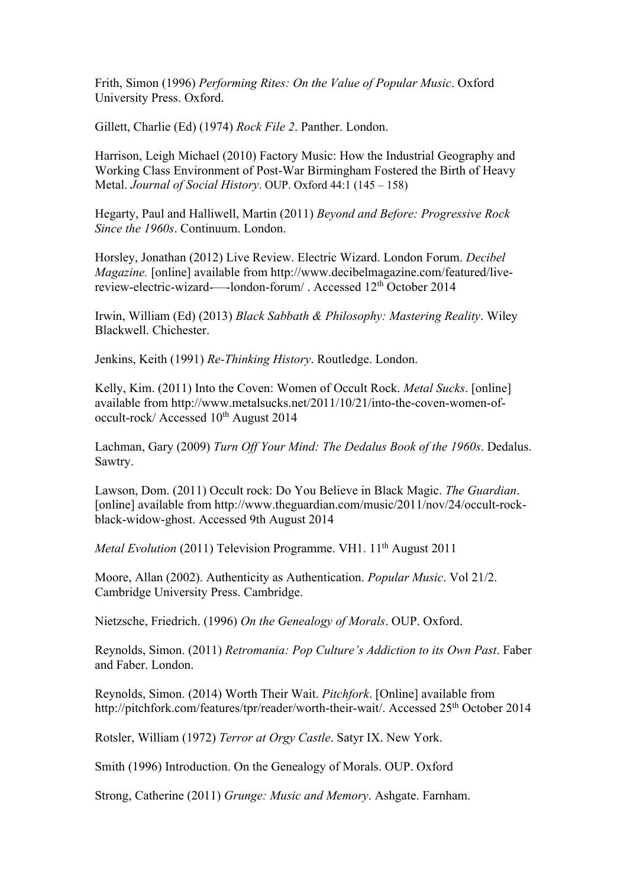Frith, Simon (1996) *Performing Rites: On the Value of Popular Music*. Oxford University Press. Oxford.

Gillett, Charlie (Ed) (1974) *Rock File 2*. Panther. London.

Harrison, Leigh Michael (2010) Factory Music: How the Industrial Geography and Working Class Environment of Post-War Birmingham Fostered the Birth of Heavy Metal. *Journal of Social History*. OUP. Oxford 44:1 (145 – 158)

Hegarty, Paul and Halliwell, Martin (2011) *Beyond and Before: Progressive Rock Since the 1960s*. Continuum. London.

Horsley, Jonathan (2012) Live Review. Electric Wizard. London Forum. *Decibel Magazine.* [online] available from http://www.decibelmagazine.com/featured/livereview-electric-wizard-—-london-forum/ . Accessed 12th October 2014

Irwin, William (Ed) (2013) *Black Sabbath & Philosophy: Mastering Reality*. Wiley Blackwell. Chichester.

Jenkins, Keith (1991) *Re-Thinking History*. Routledge. London.

Kelly, Kim. (2011) Into the Coven: Women of Occult Rock. *Metal Sucks*. [online] available from http://www.metalsucks.net/2011/10/21/into-the-coven-women-ofoccult-rock/ Accessed 10<sup>th</sup> August 2014

Lachman, Gary (2009) *Turn Off Your Mind: The Dedalus Book of the 1960s*. Dedalus. Sawtry.

Lawson, Dom. (2011) Occult rock: Do You Believe in Black Magic. *The Guardian*. [online] available from http://www.theguardian.com/music/2011/nov/24/occult-rockblack-widow-ghost. Accessed 9th August 2014

*Metal Evolution* (2011) Television Programme. VH1. 11<sup>th</sup> August 2011

Moore, Allan (2002). Authenticity as Authentication. *Popular Music*. Vol 21/2. Cambridge University Press. Cambridge.

Nietzsche, Friedrich. (1996) *On the Genealogy of Morals*. OUP. Oxford.

Reynolds, Simon. (2011) *Retromania: Pop Culture's Addiction to its Own Past*. Faber and Faber. London.

Reynolds, Simon. (2014) Worth Their Wait. *Pitchfork*. [Online] available from http://pitchfork.com/features/tpr/reader/worth-their-wait/. Accessed 25<sup>th</sup> October 2014

Rotsler, William (1972) *Terror at Orgy Castle*. Satyr IX. New York.

Smith (1996) Introduction. On the Genealogy of Morals. OUP. Oxford

Strong, Catherine (2011) *Grunge: Music and Memory*. Ashgate. Farnham.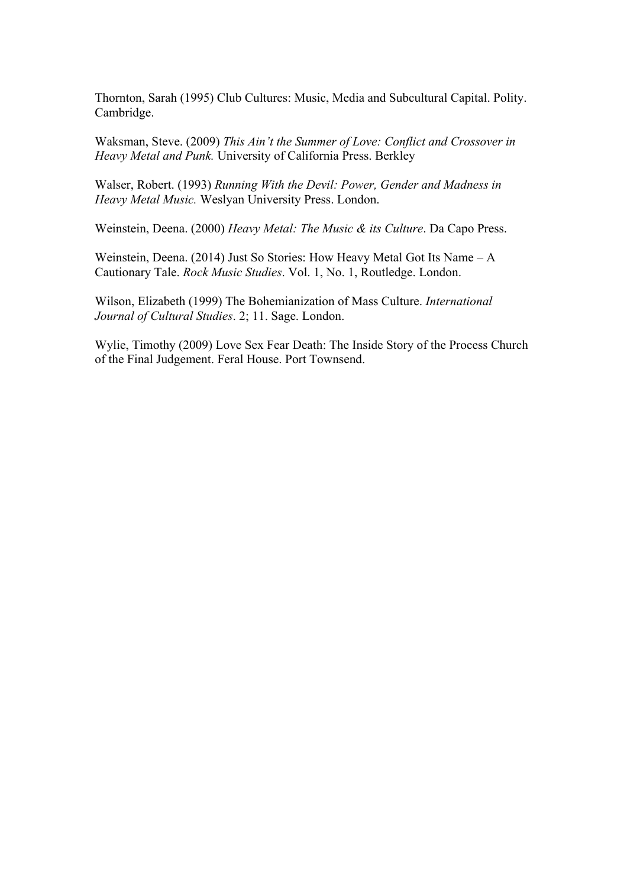Thornton, Sarah (1995) Club Cultures: Music, Media and Subcultural Capital. Polity. Cambridge.

Waksman, Steve. (2009) *This Ain't the Summer of Love: Conflict and Crossover in Heavy Metal and Punk.* University of California Press. Berkley

Walser, Robert. (1993) *Running With the Devil: Power, Gender and Madness in Heavy Metal Music.* Weslyan University Press. London.

Weinstein, Deena. (2000) *Heavy Metal: The Music & its Culture*. Da Capo Press.

Weinstein, Deena. (2014) Just So Stories: How Heavy Metal Got Its Name – A Cautionary Tale. *Rock Music Studies*. Vol. 1, No. 1, Routledge. London.

Wilson, Elizabeth (1999) The Bohemianization of Mass Culture. *International Journal of Cultural Studies*. 2; 11. Sage. London.

Wylie, Timothy (2009) Love Sex Fear Death: The Inside Story of the Process Church of the Final Judgement. Feral House. Port Townsend.